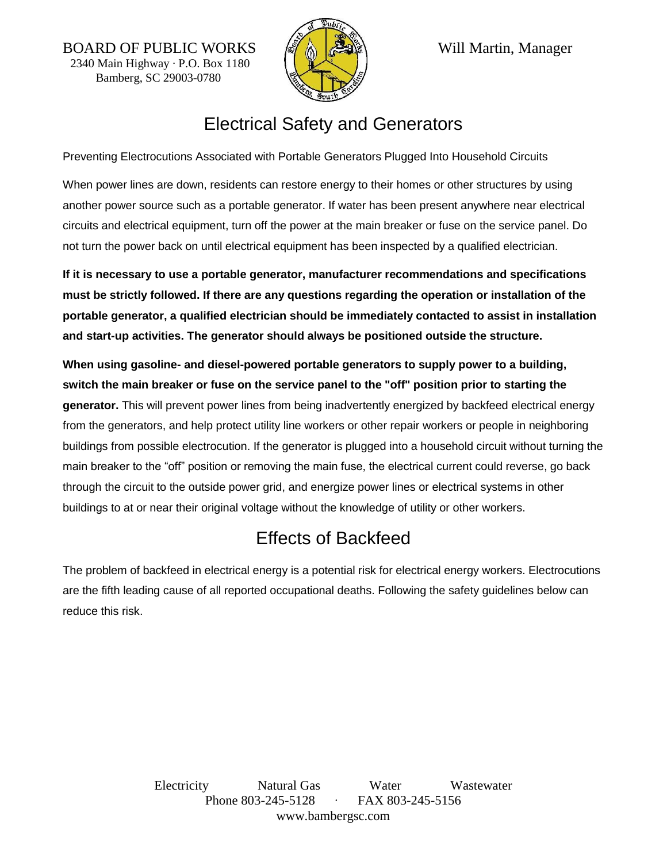BOARD OF PUBLIC WORKS **A REVAREA** Will Martin, Manager 2340 Main Highway ∙ P.O. Box 1180 Bamberg, SC 29003-0780



## Electrical Safety and Generators

Preventing Electrocutions Associated with Portable Generators Plugged Into Household Circuits

When power lines are down, residents can restore energy to their homes or other structures by using another power source such as a portable generator. If water has been present anywhere near electrical circuits and electrical equipment, turn off the power at the main breaker or fuse on the service panel. Do not turn the power back on until electrical equipment has been inspected by a qualified electrician.

**If it is necessary to use a portable generator, manufacturer recommendations and specifications must be strictly followed. If there are any questions regarding the operation or installation of the portable generator, a qualified electrician should be immediately contacted to assist in installation and start-up activities. The generator should always be positioned outside the structure.**

**When using gasoline- and diesel-powered portable generators to supply power to a building, switch the main breaker or fuse on the service panel to the "off" position prior to starting the generator.** This will prevent power lines from being inadvertently energized by backfeed electrical energy from the generators, and help protect utility line workers or other repair workers or people in neighboring buildings from possible electrocution. If the generator is plugged into a household circuit without turning the main breaker to the "off" position or removing the main fuse, the electrical current could reverse, go back through the circuit to the outside power grid, and energize power lines or electrical systems in other buildings to at or near their original voltage without the knowledge of utility or other workers.

## Effects of Backfeed

The problem of backfeed in electrical energy is a potential risk for electrical energy workers. Electrocutions are the fifth leading cause of all reported occupational deaths. Following the safety guidelines below can reduce this risk.

> Electricity Natural Gas Water Wastewater Phone 803-245-5128 ∙ FAX 803-245-5156 www.bambergsc.com